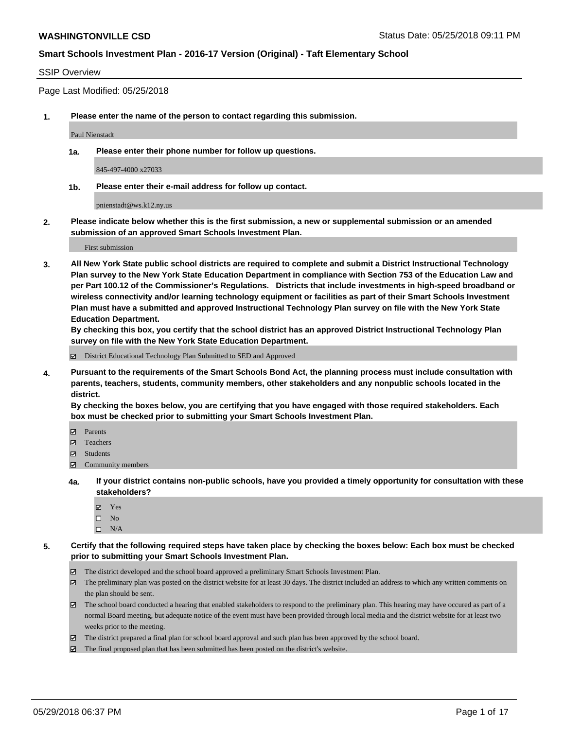#### SSIP Overview

Page Last Modified: 05/25/2018

**1. Please enter the name of the person to contact regarding this submission.**

Paul Nienstadt

**1a. Please enter their phone number for follow up questions.**

845-497-4000 x27033

**1b. Please enter their e-mail address for follow up contact.**

pnienstadt@ws.k12.ny.us

**2. Please indicate below whether this is the first submission, a new or supplemental submission or an amended submission of an approved Smart Schools Investment Plan.**

First submission

**3. All New York State public school districts are required to complete and submit a District Instructional Technology Plan survey to the New York State Education Department in compliance with Section 753 of the Education Law and per Part 100.12 of the Commissioner's Regulations. Districts that include investments in high-speed broadband or wireless connectivity and/or learning technology equipment or facilities as part of their Smart Schools Investment Plan must have a submitted and approved Instructional Technology Plan survey on file with the New York State Education Department.** 

**By checking this box, you certify that the school district has an approved District Instructional Technology Plan survey on file with the New York State Education Department.**

District Educational Technology Plan Submitted to SED and Approved

**4. Pursuant to the requirements of the Smart Schools Bond Act, the planning process must include consultation with parents, teachers, students, community members, other stakeholders and any nonpublic schools located in the district.** 

**By checking the boxes below, you are certifying that you have engaged with those required stakeholders. Each box must be checked prior to submitting your Smart Schools Investment Plan.**

- Parents
- Teachers
- Students
- $\Xi$  Community members
- **4a. If your district contains non-public schools, have you provided a timely opportunity for consultation with these stakeholders?**
	- Yes
	- $\square$  No
	- $\square$  N/A
- **5. Certify that the following required steps have taken place by checking the boxes below: Each box must be checked prior to submitting your Smart Schools Investment Plan.**
	- The district developed and the school board approved a preliminary Smart Schools Investment Plan.
	- $\boxtimes$  The preliminary plan was posted on the district website for at least 30 days. The district included an address to which any written comments on the plan should be sent.
	- $\boxtimes$  The school board conducted a hearing that enabled stakeholders to respond to the preliminary plan. This hearing may have occured as part of a normal Board meeting, but adequate notice of the event must have been provided through local media and the district website for at least two weeks prior to the meeting.
	- The district prepared a final plan for school board approval and such plan has been approved by the school board.
	- $\boxtimes$  The final proposed plan that has been submitted has been posted on the district's website.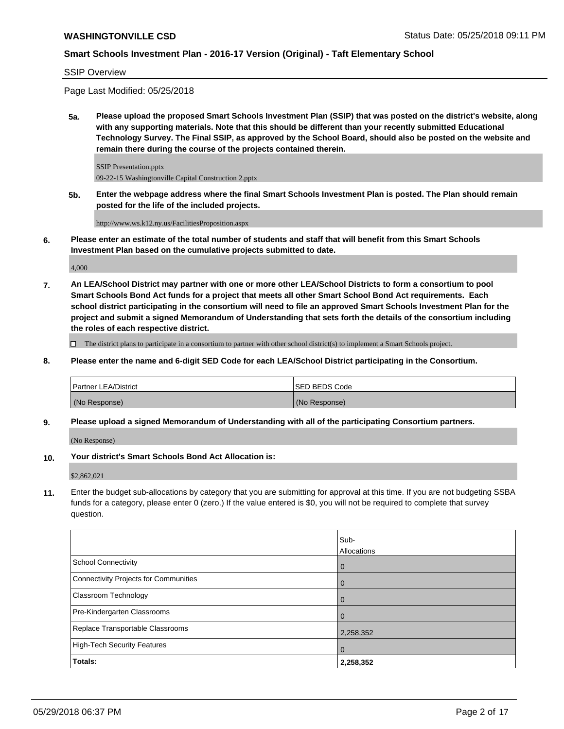SSIP Overview

Page Last Modified: 05/25/2018

**5a. Please upload the proposed Smart Schools Investment Plan (SSIP) that was posted on the district's website, along with any supporting materials. Note that this should be different than your recently submitted Educational Technology Survey. The Final SSIP, as approved by the School Board, should also be posted on the website and remain there during the course of the projects contained therein.**

SSIP Presentation.pptx 09-22-15 Washingtonville Capital Construction 2.pptx

**5b. Enter the webpage address where the final Smart Schools Investment Plan is posted. The Plan should remain posted for the life of the included projects.**

http://www.ws.k12.ny.us/FacilitiesProposition.aspx

**6. Please enter an estimate of the total number of students and staff that will benefit from this Smart Schools Investment Plan based on the cumulative projects submitted to date.**

4,000

**7. An LEA/School District may partner with one or more other LEA/School Districts to form a consortium to pool Smart Schools Bond Act funds for a project that meets all other Smart School Bond Act requirements. Each school district participating in the consortium will need to file an approved Smart Schools Investment Plan for the project and submit a signed Memorandum of Understanding that sets forth the details of the consortium including the roles of each respective district.**

 $\Box$  The district plans to participate in a consortium to partner with other school district(s) to implement a Smart Schools project.

**8. Please enter the name and 6-digit SED Code for each LEA/School District participating in the Consortium.**

| Partner LEA/District | <b>ISED BEDS Code</b> |
|----------------------|-----------------------|
| (No Response)        | (No Response)         |

**9. Please upload a signed Memorandum of Understanding with all of the participating Consortium partners.**

(No Response)

**10. Your district's Smart Schools Bond Act Allocation is:**

\$2,862,021

**11.** Enter the budget sub-allocations by category that you are submitting for approval at this time. If you are not budgeting SSBA funds for a category, please enter 0 (zero.) If the value entered is \$0, you will not be required to complete that survey question.

|                                       | Sub-           |
|---------------------------------------|----------------|
|                                       | Allocations    |
| <b>School Connectivity</b>            | $\overline{0}$ |
| Connectivity Projects for Communities | $\Omega$       |
| <b>Classroom Technology</b>           | $\overline{0}$ |
| Pre-Kindergarten Classrooms           | $\Omega$       |
| Replace Transportable Classrooms      | 2,258,352      |
| High-Tech Security Features           | $\overline{0}$ |
| Totals:                               | 2,258,352      |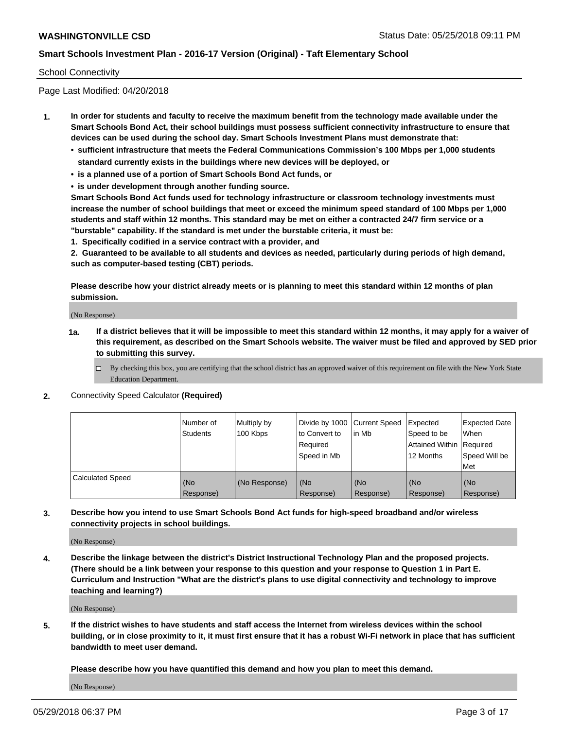#### School Connectivity

Page Last Modified: 04/20/2018

- **1. In order for students and faculty to receive the maximum benefit from the technology made available under the Smart Schools Bond Act, their school buildings must possess sufficient connectivity infrastructure to ensure that devices can be used during the school day. Smart Schools Investment Plans must demonstrate that:**
	- **• sufficient infrastructure that meets the Federal Communications Commission's 100 Mbps per 1,000 students standard currently exists in the buildings where new devices will be deployed, or**
	- **• is a planned use of a portion of Smart Schools Bond Act funds, or**
	- **• is under development through another funding source.**

**Smart Schools Bond Act funds used for technology infrastructure or classroom technology investments must increase the number of school buildings that meet or exceed the minimum speed standard of 100 Mbps per 1,000 students and staff within 12 months. This standard may be met on either a contracted 24/7 firm service or a "burstable" capability. If the standard is met under the burstable criteria, it must be:**

**1. Specifically codified in a service contract with a provider, and**

**2. Guaranteed to be available to all students and devices as needed, particularly during periods of high demand, such as computer-based testing (CBT) periods.**

**Please describe how your district already meets or is planning to meet this standard within 12 months of plan submission.**

(No Response)

- **1a. If a district believes that it will be impossible to meet this standard within 12 months, it may apply for a waiver of this requirement, as described on the Smart Schools website. The waiver must be filed and approved by SED prior to submitting this survey.**
	- By checking this box, you are certifying that the school district has an approved waiver of this requirement on file with the New York State Education Department.
- **2.** Connectivity Speed Calculator **(Required)**

|                         | l Number of<br>Students | Multiply by<br>100 Kbps | Divide by 1000 Current Speed<br>to Convert to<br>Required<br>Speed in Mb | lin Mb           | Expected<br>Speed to be<br>Attained Within Required<br>12 Months | <b>Expected Date</b><br>When<br>Speed Will be<br>Met |
|-------------------------|-------------------------|-------------------------|--------------------------------------------------------------------------|------------------|------------------------------------------------------------------|------------------------------------------------------|
| <b>Calculated Speed</b> | (No<br>Response)        | (No Response)           | (No<br>Response)                                                         | (No<br>Response) | (No<br>Response)                                                 | l (No<br>Response)                                   |

**3. Describe how you intend to use Smart Schools Bond Act funds for high-speed broadband and/or wireless connectivity projects in school buildings.**

(No Response)

**4. Describe the linkage between the district's District Instructional Technology Plan and the proposed projects. (There should be a link between your response to this question and your response to Question 1 in Part E. Curriculum and Instruction "What are the district's plans to use digital connectivity and technology to improve teaching and learning?)**

(No Response)

**5. If the district wishes to have students and staff access the Internet from wireless devices within the school building, or in close proximity to it, it must first ensure that it has a robust Wi-Fi network in place that has sufficient bandwidth to meet user demand.**

**Please describe how you have quantified this demand and how you plan to meet this demand.**

(No Response)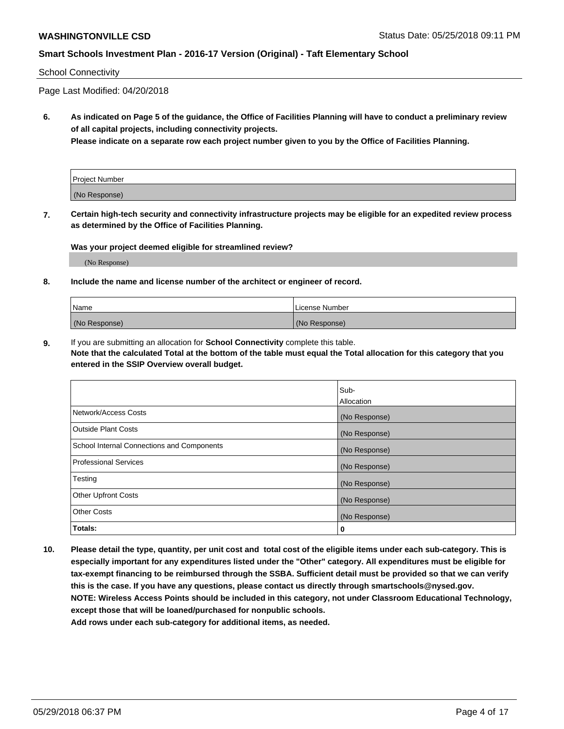#### School Connectivity

Page Last Modified: 04/20/2018

**6. As indicated on Page 5 of the guidance, the Office of Facilities Planning will have to conduct a preliminary review of all capital projects, including connectivity projects.**

**Please indicate on a separate row each project number given to you by the Office of Facilities Planning.**

| Project Number |  |
|----------------|--|
| (No Response)  |  |

**7. Certain high-tech security and connectivity infrastructure projects may be eligible for an expedited review process as determined by the Office of Facilities Planning.**

#### **Was your project deemed eligible for streamlined review?**

(No Response)

#### **8. Include the name and license number of the architect or engineer of record.**

| Name          | License Number |
|---------------|----------------|
| (No Response) | (No Response)  |

**9.** If you are submitting an allocation for **School Connectivity** complete this table.

**Note that the calculated Total at the bottom of the table must equal the Total allocation for this category that you entered in the SSIP Overview overall budget.** 

|                                            | Sub-          |
|--------------------------------------------|---------------|
|                                            | Allocation    |
| Network/Access Costs                       | (No Response) |
| Outside Plant Costs                        | (No Response) |
| School Internal Connections and Components | (No Response) |
| Professional Services                      | (No Response) |
| Testing                                    | (No Response) |
| <b>Other Upfront Costs</b>                 | (No Response) |
| <b>Other Costs</b>                         | (No Response) |
| Totals:                                    | 0             |

**10. Please detail the type, quantity, per unit cost and total cost of the eligible items under each sub-category. This is especially important for any expenditures listed under the "Other" category. All expenditures must be eligible for tax-exempt financing to be reimbursed through the SSBA. Sufficient detail must be provided so that we can verify this is the case. If you have any questions, please contact us directly through smartschools@nysed.gov. NOTE: Wireless Access Points should be included in this category, not under Classroom Educational Technology, except those that will be loaned/purchased for nonpublic schools.**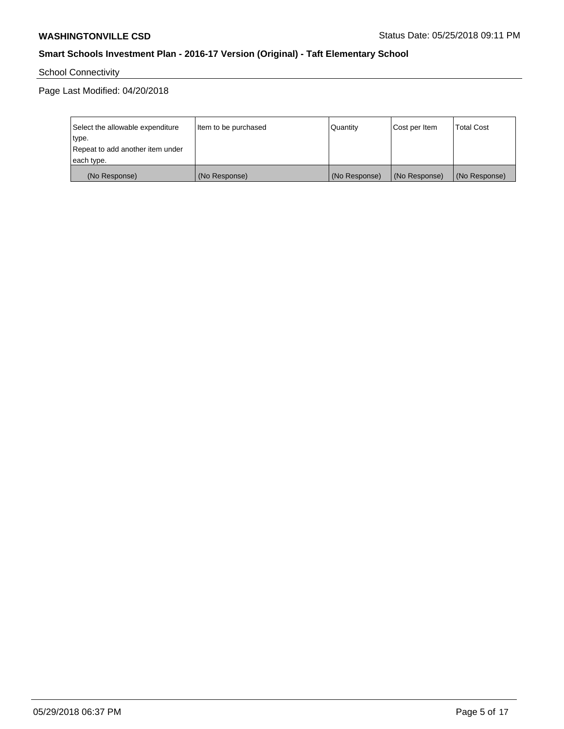School Connectivity

Page Last Modified: 04/20/2018

| Select the allowable expenditure | Item to be purchased | Quantity      | Cost per Item | <b>Total Cost</b> |
|----------------------------------|----------------------|---------------|---------------|-------------------|
| type.                            |                      |               |               |                   |
| Repeat to add another item under |                      |               |               |                   |
| each type.                       |                      |               |               |                   |
| (No Response)                    | (No Response)        | (No Response) | (No Response) | (No Response)     |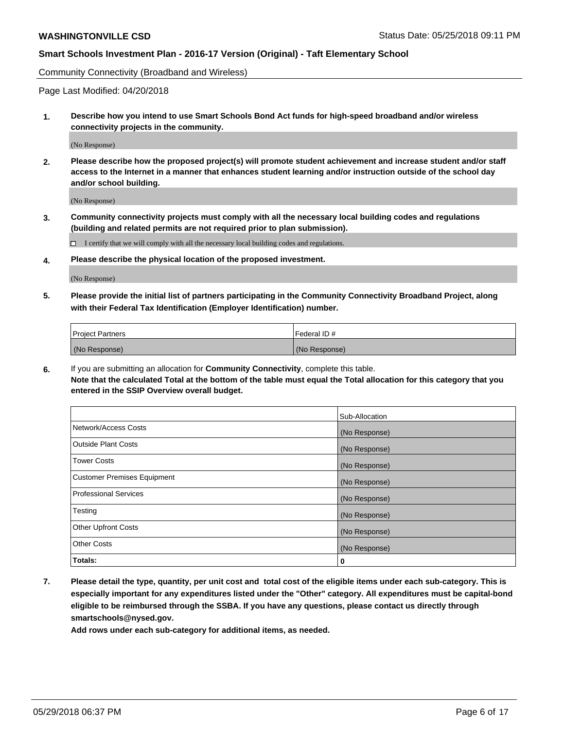Community Connectivity (Broadband and Wireless)

Page Last Modified: 04/20/2018

**1. Describe how you intend to use Smart Schools Bond Act funds for high-speed broadband and/or wireless connectivity projects in the community.**

(No Response)

**2. Please describe how the proposed project(s) will promote student achievement and increase student and/or staff access to the Internet in a manner that enhances student learning and/or instruction outside of the school day and/or school building.**

(No Response)

**3. Community connectivity projects must comply with all the necessary local building codes and regulations (building and related permits are not required prior to plan submission).**

 $\Box$  I certify that we will comply with all the necessary local building codes and regulations.

**4. Please describe the physical location of the proposed investment.**

(No Response)

**5. Please provide the initial list of partners participating in the Community Connectivity Broadband Project, along with their Federal Tax Identification (Employer Identification) number.**

| <b>Project Partners</b> | l Federal ID # |
|-------------------------|----------------|
| (No Response)           | (No Response)  |

**6.** If you are submitting an allocation for **Community Connectivity**, complete this table. **Note that the calculated Total at the bottom of the table must equal the Total allocation for this category that you entered in the SSIP Overview overall budget.**

|                                    | Sub-Allocation |
|------------------------------------|----------------|
| Network/Access Costs               | (No Response)  |
| Outside Plant Costs                | (No Response)  |
| <b>Tower Costs</b>                 | (No Response)  |
| <b>Customer Premises Equipment</b> | (No Response)  |
| Professional Services              | (No Response)  |
| Testing                            | (No Response)  |
| <b>Other Upfront Costs</b>         | (No Response)  |
| <b>Other Costs</b>                 | (No Response)  |
| Totals:                            | 0              |

**7. Please detail the type, quantity, per unit cost and total cost of the eligible items under each sub-category. This is especially important for any expenditures listed under the "Other" category. All expenditures must be capital-bond eligible to be reimbursed through the SSBA. If you have any questions, please contact us directly through smartschools@nysed.gov.**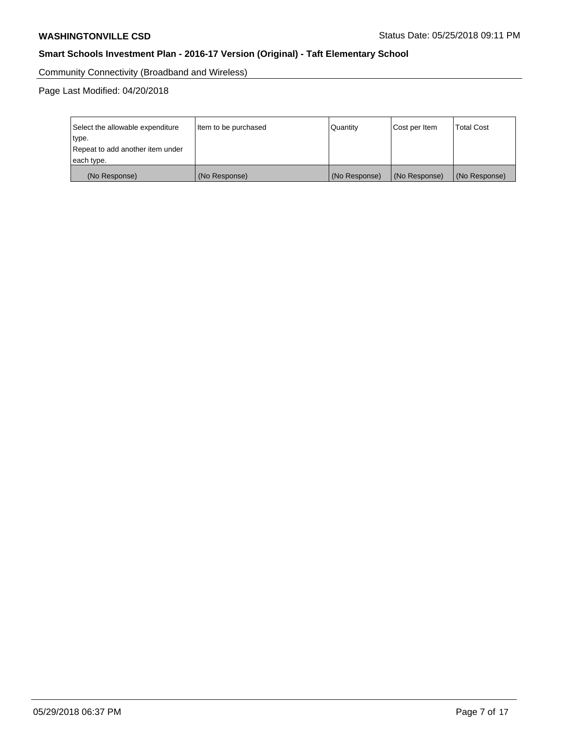Community Connectivity (Broadband and Wireless)

Page Last Modified: 04/20/2018

| Select the allowable expenditure<br>type.<br>Repeat to add another item under<br>each type. | Item to be purchased | Quantity      | Cost per Item | <b>Total Cost</b> |
|---------------------------------------------------------------------------------------------|----------------------|---------------|---------------|-------------------|
| (No Response)                                                                               | (No Response)        | (No Response) | (No Response) | (No Response)     |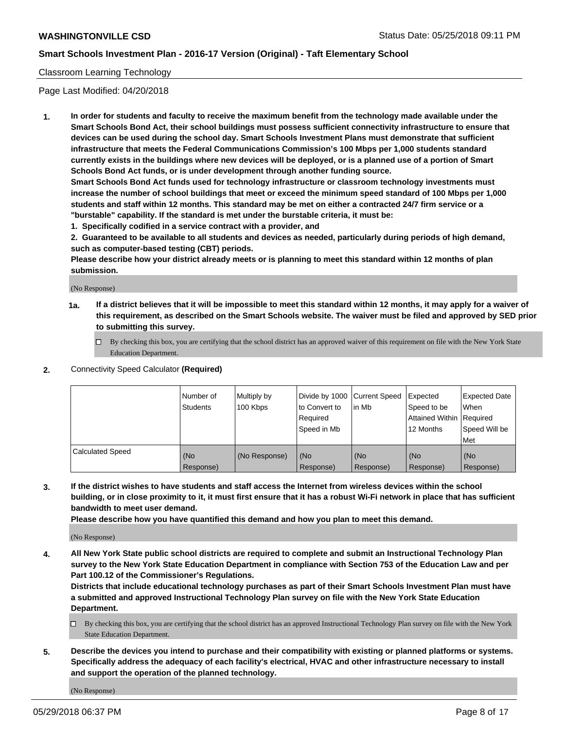### Classroom Learning Technology

Page Last Modified: 04/20/2018

**1. In order for students and faculty to receive the maximum benefit from the technology made available under the Smart Schools Bond Act, their school buildings must possess sufficient connectivity infrastructure to ensure that devices can be used during the school day. Smart Schools Investment Plans must demonstrate that sufficient infrastructure that meets the Federal Communications Commission's 100 Mbps per 1,000 students standard currently exists in the buildings where new devices will be deployed, or is a planned use of a portion of Smart Schools Bond Act funds, or is under development through another funding source.**

**Smart Schools Bond Act funds used for technology infrastructure or classroom technology investments must increase the number of school buildings that meet or exceed the minimum speed standard of 100 Mbps per 1,000 students and staff within 12 months. This standard may be met on either a contracted 24/7 firm service or a "burstable" capability. If the standard is met under the burstable criteria, it must be:**

**1. Specifically codified in a service contract with a provider, and**

**2. Guaranteed to be available to all students and devices as needed, particularly during periods of high demand, such as computer-based testing (CBT) periods.**

**Please describe how your district already meets or is planning to meet this standard within 12 months of plan submission.**

(No Response)

- **1a. If a district believes that it will be impossible to meet this standard within 12 months, it may apply for a waiver of this requirement, as described on the Smart Schools website. The waiver must be filed and approved by SED prior to submitting this survey.**
	- By checking this box, you are certifying that the school district has an approved waiver of this requirement on file with the New York State Education Department.
- **2.** Connectivity Speed Calculator **(Required)**

|                         | l Number of<br><b>Students</b> | Multiply by<br>100 Kbps | Divide by 1000 Current Speed<br>to Convert to<br>Required<br>l Speed in Mb | lin Mb           | Expected<br>Speed to be<br>Attained Within Required<br>12 Months | Expected Date<br>When<br>Speed Will be<br><b>Met</b> |
|-------------------------|--------------------------------|-------------------------|----------------------------------------------------------------------------|------------------|------------------------------------------------------------------|------------------------------------------------------|
| <b>Calculated Speed</b> | (No<br>Response)               | (No Response)           | (No<br>Response)                                                           | (No<br>Response) | (No<br>Response)                                                 | l (No<br>Response)                                   |

**3. If the district wishes to have students and staff access the Internet from wireless devices within the school building, or in close proximity to it, it must first ensure that it has a robust Wi-Fi network in place that has sufficient bandwidth to meet user demand.**

**Please describe how you have quantified this demand and how you plan to meet this demand.**

(No Response)

**4. All New York State public school districts are required to complete and submit an Instructional Technology Plan survey to the New York State Education Department in compliance with Section 753 of the Education Law and per Part 100.12 of the Commissioner's Regulations.**

**Districts that include educational technology purchases as part of their Smart Schools Investment Plan must have a submitted and approved Instructional Technology Plan survey on file with the New York State Education Department.**

- By checking this box, you are certifying that the school district has an approved Instructional Technology Plan survey on file with the New York State Education Department.
- **5. Describe the devices you intend to purchase and their compatibility with existing or planned platforms or systems. Specifically address the adequacy of each facility's electrical, HVAC and other infrastructure necessary to install and support the operation of the planned technology.**

(No Response)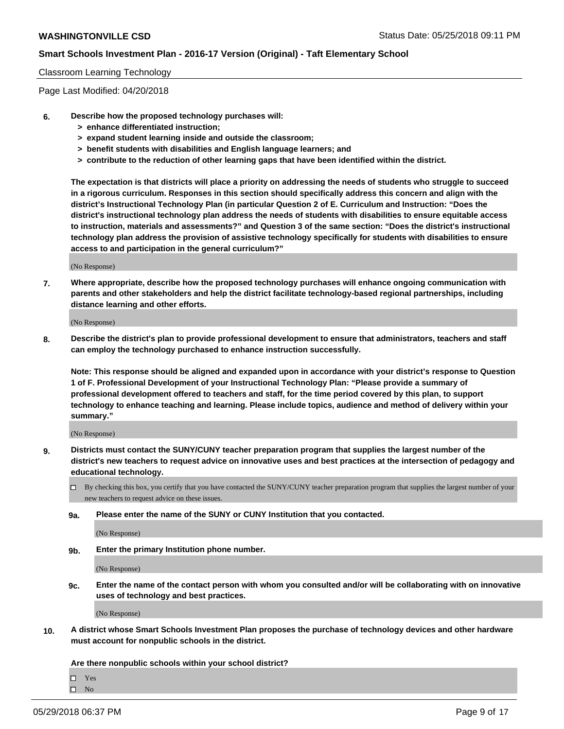#### Classroom Learning Technology

Page Last Modified: 04/20/2018

- **6. Describe how the proposed technology purchases will:**
	- **> enhance differentiated instruction;**
	- **> expand student learning inside and outside the classroom;**
	- **> benefit students with disabilities and English language learners; and**
	- **> contribute to the reduction of other learning gaps that have been identified within the district.**

**The expectation is that districts will place a priority on addressing the needs of students who struggle to succeed in a rigorous curriculum. Responses in this section should specifically address this concern and align with the district's Instructional Technology Plan (in particular Question 2 of E. Curriculum and Instruction: "Does the district's instructional technology plan address the needs of students with disabilities to ensure equitable access to instruction, materials and assessments?" and Question 3 of the same section: "Does the district's instructional technology plan address the provision of assistive technology specifically for students with disabilities to ensure access to and participation in the general curriculum?"**

(No Response)

**7. Where appropriate, describe how the proposed technology purchases will enhance ongoing communication with parents and other stakeholders and help the district facilitate technology-based regional partnerships, including distance learning and other efforts.**

(No Response)

**8. Describe the district's plan to provide professional development to ensure that administrators, teachers and staff can employ the technology purchased to enhance instruction successfully.**

**Note: This response should be aligned and expanded upon in accordance with your district's response to Question 1 of F. Professional Development of your Instructional Technology Plan: "Please provide a summary of professional development offered to teachers and staff, for the time period covered by this plan, to support technology to enhance teaching and learning. Please include topics, audience and method of delivery within your summary."**

(No Response)

- **9. Districts must contact the SUNY/CUNY teacher preparation program that supplies the largest number of the district's new teachers to request advice on innovative uses and best practices at the intersection of pedagogy and educational technology.**
	- $\Box$  By checking this box, you certify that you have contacted the SUNY/CUNY teacher preparation program that supplies the largest number of your new teachers to request advice on these issues.
	- **9a. Please enter the name of the SUNY or CUNY Institution that you contacted.**

(No Response)

**9b. Enter the primary Institution phone number.**

(No Response)

**9c. Enter the name of the contact person with whom you consulted and/or will be collaborating with on innovative uses of technology and best practices.**

(No Response)

**10. A district whose Smart Schools Investment Plan proposes the purchase of technology devices and other hardware must account for nonpublic schools in the district.**

**Are there nonpublic schools within your school district?**

Yes

 $\hfill \square$  No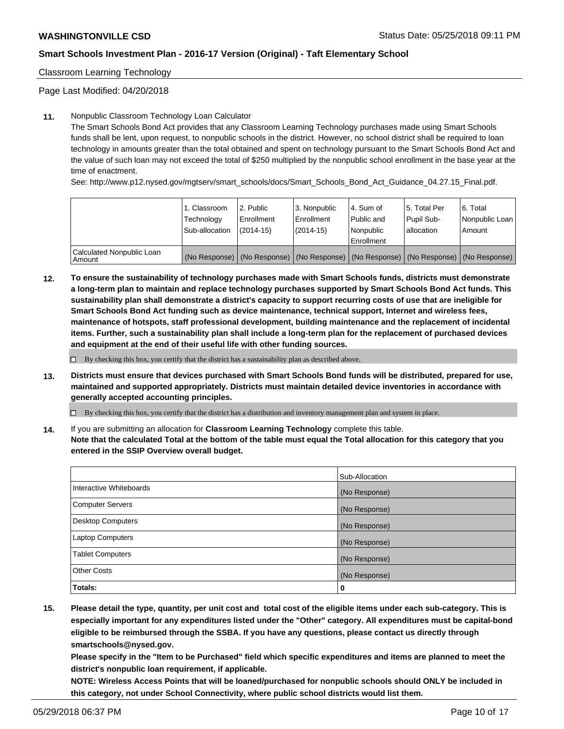Classroom Learning Technology

Page Last Modified: 04/20/2018

#### **11.** Nonpublic Classroom Technology Loan Calculator

The Smart Schools Bond Act provides that any Classroom Learning Technology purchases made using Smart Schools funds shall be lent, upon request, to nonpublic schools in the district. However, no school district shall be required to loan technology in amounts greater than the total obtained and spent on technology pursuant to the Smart Schools Bond Act and the value of such loan may not exceed the total of \$250 multiplied by the nonpublic school enrollment in the base year at the time of enactment.

See: http://www.p12.nysed.gov/mgtserv/smart\_schools/docs/Smart\_Schools\_Bond\_Act\_Guidance\_04.27.15\_Final.pdf.

|                                       | 1. Classroom<br>Technology<br>Sub-allocation | l 2. Public<br>Enrollment<br>$(2014 - 15)$ | l 3. Nonpublic<br>Enrollment<br>(2014-15) | 4. Sum of<br>Public and<br>l Nonpublic<br>Enrollment | l 5. Total Per<br>Pupil Sub-<br>lallocation                                                   | l 6. Total<br>Nonpublic Loan<br>Amount |
|---------------------------------------|----------------------------------------------|--------------------------------------------|-------------------------------------------|------------------------------------------------------|-----------------------------------------------------------------------------------------------|----------------------------------------|
| Calculated Nonpublic Loan<br>l Amount |                                              |                                            |                                           |                                                      | (No Response)   (No Response)   (No Response)   (No Response)   (No Response)   (No Response) |                                        |

**12. To ensure the sustainability of technology purchases made with Smart Schools funds, districts must demonstrate a long-term plan to maintain and replace technology purchases supported by Smart Schools Bond Act funds. This sustainability plan shall demonstrate a district's capacity to support recurring costs of use that are ineligible for Smart Schools Bond Act funding such as device maintenance, technical support, Internet and wireless fees, maintenance of hotspots, staff professional development, building maintenance and the replacement of incidental items. Further, such a sustainability plan shall include a long-term plan for the replacement of purchased devices and equipment at the end of their useful life with other funding sources.**

 $\square$  By checking this box, you certify that the district has a sustainability plan as described above.

**13. Districts must ensure that devices purchased with Smart Schools Bond funds will be distributed, prepared for use, maintained and supported appropriately. Districts must maintain detailed device inventories in accordance with generally accepted accounting principles.**

By checking this box, you certify that the district has a distribution and inventory management plan and system in place.

**14.** If you are submitting an allocation for **Classroom Learning Technology** complete this table.

**Note that the calculated Total at the bottom of the table must equal the Total allocation for this category that you entered in the SSIP Overview overall budget.**

|                          | Sub-Allocation |
|--------------------------|----------------|
| Interactive Whiteboards  | (No Response)  |
| <b>Computer Servers</b>  | (No Response)  |
| <b>Desktop Computers</b> | (No Response)  |
| <b>Laptop Computers</b>  | (No Response)  |
| <b>Tablet Computers</b>  | (No Response)  |
| <b>Other Costs</b>       | (No Response)  |
| Totals:                  | 0              |

**15. Please detail the type, quantity, per unit cost and total cost of the eligible items under each sub-category. This is especially important for any expenditures listed under the "Other" category. All expenditures must be capital-bond eligible to be reimbursed through the SSBA. If you have any questions, please contact us directly through smartschools@nysed.gov.**

**Please specify in the "Item to be Purchased" field which specific expenditures and items are planned to meet the district's nonpublic loan requirement, if applicable.**

**NOTE: Wireless Access Points that will be loaned/purchased for nonpublic schools should ONLY be included in this category, not under School Connectivity, where public school districts would list them.**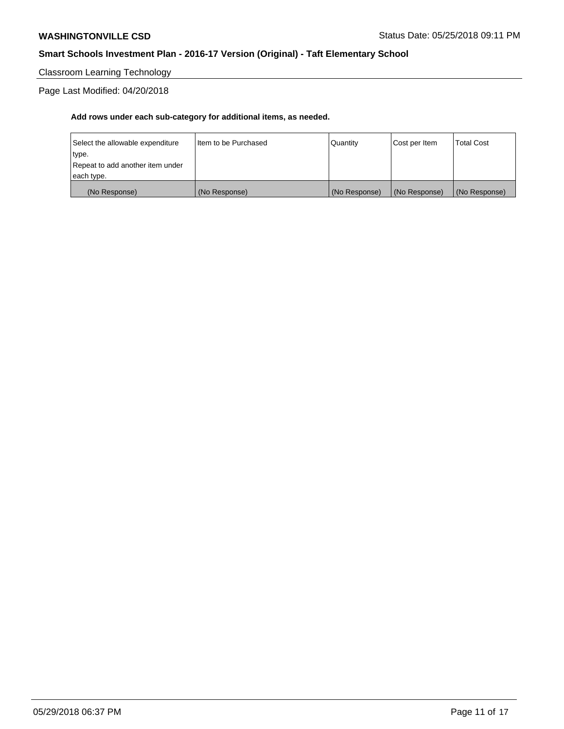Classroom Learning Technology

Page Last Modified: 04/20/2018

| each type.<br>(No Response)               | (No Response)          | (No Response) | (No Response) | (No Response)     |
|-------------------------------------------|------------------------|---------------|---------------|-------------------|
| type.<br>Repeat to add another item under |                        |               |               |                   |
| Select the allowable expenditure          | I Item to be Purchased | l Quantitv    | Cost per Item | <b>Total Cost</b> |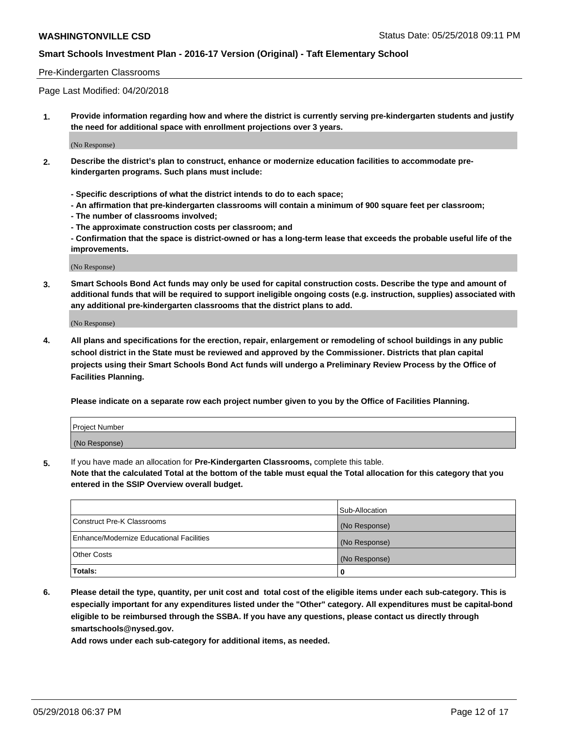#### Pre-Kindergarten Classrooms

Page Last Modified: 04/20/2018

**1. Provide information regarding how and where the district is currently serving pre-kindergarten students and justify the need for additional space with enrollment projections over 3 years.**

(No Response)

- **2. Describe the district's plan to construct, enhance or modernize education facilities to accommodate prekindergarten programs. Such plans must include:**
	- **Specific descriptions of what the district intends to do to each space;**
	- **An affirmation that pre-kindergarten classrooms will contain a minimum of 900 square feet per classroom;**
	- **The number of classrooms involved;**
	- **The approximate construction costs per classroom; and**
	- **Confirmation that the space is district-owned or has a long-term lease that exceeds the probable useful life of the improvements.**

(No Response)

**3. Smart Schools Bond Act funds may only be used for capital construction costs. Describe the type and amount of additional funds that will be required to support ineligible ongoing costs (e.g. instruction, supplies) associated with any additional pre-kindergarten classrooms that the district plans to add.**

(No Response)

**4. All plans and specifications for the erection, repair, enlargement or remodeling of school buildings in any public school district in the State must be reviewed and approved by the Commissioner. Districts that plan capital projects using their Smart Schools Bond Act funds will undergo a Preliminary Review Process by the Office of Facilities Planning.**

**Please indicate on a separate row each project number given to you by the Office of Facilities Planning.**

| <b>Project Number</b> |  |
|-----------------------|--|
| (No Response)         |  |

**5.** If you have made an allocation for **Pre-Kindergarten Classrooms,** complete this table.

**Note that the calculated Total at the bottom of the table must equal the Total allocation for this category that you entered in the SSIP Overview overall budget.**

|                                          | Sub-Allocation |
|------------------------------------------|----------------|
| Construct Pre-K Classrooms               | (No Response)  |
| Enhance/Modernize Educational Facilities | (No Response)  |
| Other Costs                              | (No Response)  |
| Totals:                                  | 0              |

**6. Please detail the type, quantity, per unit cost and total cost of the eligible items under each sub-category. This is especially important for any expenditures listed under the "Other" category. All expenditures must be capital-bond eligible to be reimbursed through the SSBA. If you have any questions, please contact us directly through smartschools@nysed.gov.**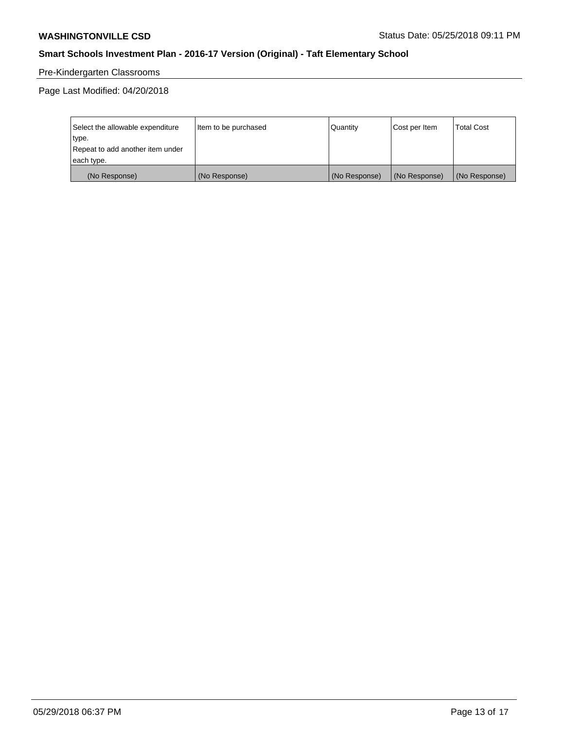# Pre-Kindergarten Classrooms

Page Last Modified: 04/20/2018

| Select the allowable expenditure | Item to be purchased | Quantity      | Cost per Item | <b>Total Cost</b> |
|----------------------------------|----------------------|---------------|---------------|-------------------|
| type.                            |                      |               |               |                   |
| Repeat to add another item under |                      |               |               |                   |
| each type.                       |                      |               |               |                   |
| (No Response)                    | (No Response)        | (No Response) | (No Response) | (No Response)     |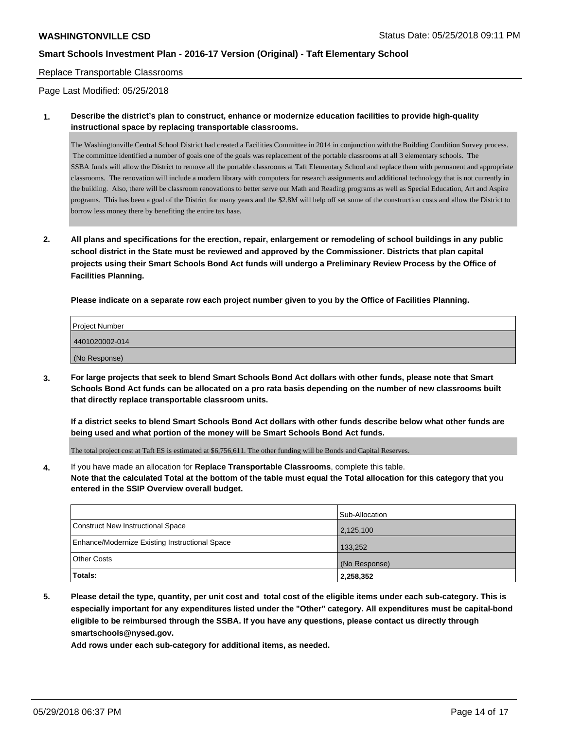Replace Transportable Classrooms

Page Last Modified: 05/25/2018

**1. Describe the district's plan to construct, enhance or modernize education facilities to provide high-quality instructional space by replacing transportable classrooms.**

The Washingtonville Central School District had created a Facilities Committee in 2014 in conjunction with the Building Condition Survey process. The committee identified a number of goals one of the goals was replacement of the portable classrooms at all 3 elementary schools. The SSBA funds will allow the District to remove all the portable classrooms at Taft Elementary School and replace them with permanent and appropriate classrooms. The renovation will include a modern library with computers for research assignments and additional technology that is not currently in the building. Also, there will be classroom renovations to better serve our Math and Reading programs as well as Special Education, Art and Aspire programs. This has been a goal of the District for many years and the \$2.8M will help off set some of the construction costs and allow the District to borrow less money there by benefiting the entire tax base.

**2. All plans and specifications for the erection, repair, enlargement or remodeling of school buildings in any public school district in the State must be reviewed and approved by the Commissioner. Districts that plan capital projects using their Smart Schools Bond Act funds will undergo a Preliminary Review Process by the Office of Facilities Planning.**

**Please indicate on a separate row each project number given to you by the Office of Facilities Planning.**

| <b>Project Number</b> |  |  |
|-----------------------|--|--|
| 4401020002-014        |  |  |
| (No Response)         |  |  |

**3. For large projects that seek to blend Smart Schools Bond Act dollars with other funds, please note that Smart Schools Bond Act funds can be allocated on a pro rata basis depending on the number of new classrooms built that directly replace transportable classroom units.**

**If a district seeks to blend Smart Schools Bond Act dollars with other funds describe below what other funds are being used and what portion of the money will be Smart Schools Bond Act funds.**

The total project cost at Taft ES is estimated at \$6,756,611. The other funding will be Bonds and Capital Reserves.

**4.** If you have made an allocation for **Replace Transportable Classrooms**, complete this table. **Note that the calculated Total at the bottom of the table must equal the Total allocation for this category that you entered in the SSIP Overview overall budget.**

|                                                | Sub-Allocation |
|------------------------------------------------|----------------|
| Construct New Instructional Space              | 2,125,100      |
| Enhance/Modernize Existing Instructional Space | 133,252        |
| <b>Other Costs</b>                             | (No Response)  |
| Totals:                                        | 2,258,352      |

**5. Please detail the type, quantity, per unit cost and total cost of the eligible items under each sub-category. This is especially important for any expenditures listed under the "Other" category. All expenditures must be capital-bond eligible to be reimbursed through the SSBA. If you have any questions, please contact us directly through smartschools@nysed.gov.**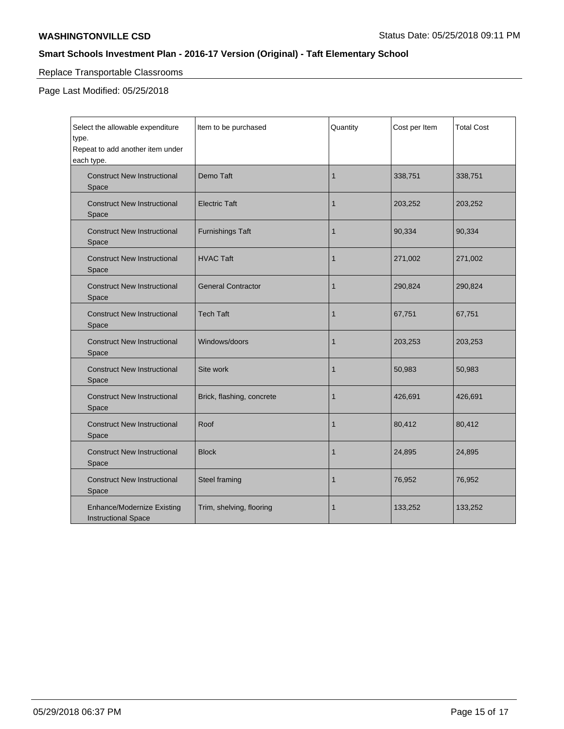# Replace Transportable Classrooms

Page Last Modified: 05/25/2018

| Select the allowable expenditure<br>type.<br>Repeat to add another item under<br>each type. | Item to be purchased      | Quantity | Cost per Item | <b>Total Cost</b> |
|---------------------------------------------------------------------------------------------|---------------------------|----------|---------------|-------------------|
| <b>Construct New Instructional</b><br>Space                                                 | Demo Taft                 | 1        | 338,751       | 338,751           |
| <b>Construct New Instructional</b><br>Space                                                 | <b>Electric Taft</b>      | 1        | 203,252       | 203,252           |
| <b>Construct New Instructional</b><br>Space                                                 | <b>Furnishings Taft</b>   | 1        | 90,334        | 90,334            |
| <b>Construct New Instructional</b><br>Space                                                 | <b>HVAC Taft</b>          | 1        | 271,002       | 271,002           |
| <b>Construct New Instructional</b><br>Space                                                 | <b>General Contractor</b> | 1        | 290,824       | 290,824           |
| <b>Construct New Instructional</b><br>Space                                                 | <b>Tech Taft</b>          | 1        | 67,751        | 67,751            |
| <b>Construct New Instructional</b><br>Space                                                 | Windows/doors             | 1        | 203,253       | 203,253           |
| <b>Construct New Instructional</b><br>Space                                                 | Site work                 | 1        | 50,983        | 50,983            |
| <b>Construct New Instructional</b><br>Space                                                 | Brick, flashing, concrete | 1        | 426,691       | 426,691           |
| <b>Construct New Instructional</b><br>Space                                                 | Roof                      | 1        | 80,412        | 80,412            |
| <b>Construct New Instructional</b><br>Space                                                 | <b>Block</b>              | 1        | 24,895        | 24,895            |
| <b>Construct New Instructional</b><br>Space                                                 | Steel framing             | 1        | 76,952        | 76,952            |
| <b>Enhance/Modernize Existing</b><br><b>Instructional Space</b>                             | Trim, shelving, flooring  | 1        | 133,252       | 133,252           |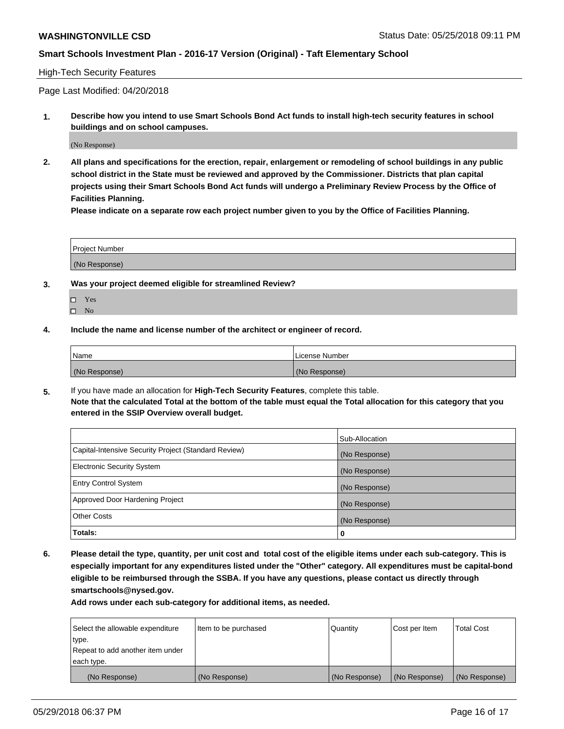#### High-Tech Security Features

Page Last Modified: 04/20/2018

**1. Describe how you intend to use Smart Schools Bond Act funds to install high-tech security features in school buildings and on school campuses.**

(No Response)

**2. All plans and specifications for the erection, repair, enlargement or remodeling of school buildings in any public school district in the State must be reviewed and approved by the Commissioner. Districts that plan capital projects using their Smart Schools Bond Act funds will undergo a Preliminary Review Process by the Office of Facilities Planning.** 

**Please indicate on a separate row each project number given to you by the Office of Facilities Planning.**

| <b>Project Number</b> |  |  |
|-----------------------|--|--|
|                       |  |  |
| (No Response)         |  |  |

- **3. Was your project deemed eligible for streamlined Review?**
	- Yes  $\square$  No
- **4. Include the name and license number of the architect or engineer of record.**

| Name          | License Number |
|---------------|----------------|
| (No Response) | (No Response)  |

**5.** If you have made an allocation for **High-Tech Security Features**, complete this table. **Note that the calculated Total at the bottom of the table must equal the Total allocation for this category that you entered in the SSIP Overview overall budget.**

|                                                      | Sub-Allocation |
|------------------------------------------------------|----------------|
| Capital-Intensive Security Project (Standard Review) | (No Response)  |
| <b>Electronic Security System</b>                    | (No Response)  |
| <b>Entry Control System</b>                          | (No Response)  |
| Approved Door Hardening Project                      | (No Response)  |
| <b>Other Costs</b>                                   | (No Response)  |
| Totals:                                              | 0              |

**6. Please detail the type, quantity, per unit cost and total cost of the eligible items under each sub-category. This is especially important for any expenditures listed under the "Other" category. All expenditures must be capital-bond eligible to be reimbursed through the SSBA. If you have any questions, please contact us directly through smartschools@nysed.gov.**

| Select the allowable expenditure | Item to be purchased | Quantity      | Cost per Item | <b>Total Cost</b> |
|----------------------------------|----------------------|---------------|---------------|-------------------|
| type.                            |                      |               |               |                   |
| Repeat to add another item under |                      |               |               |                   |
| each type.                       |                      |               |               |                   |
| (No Response)                    | (No Response)        | (No Response) | (No Response) | (No Response)     |